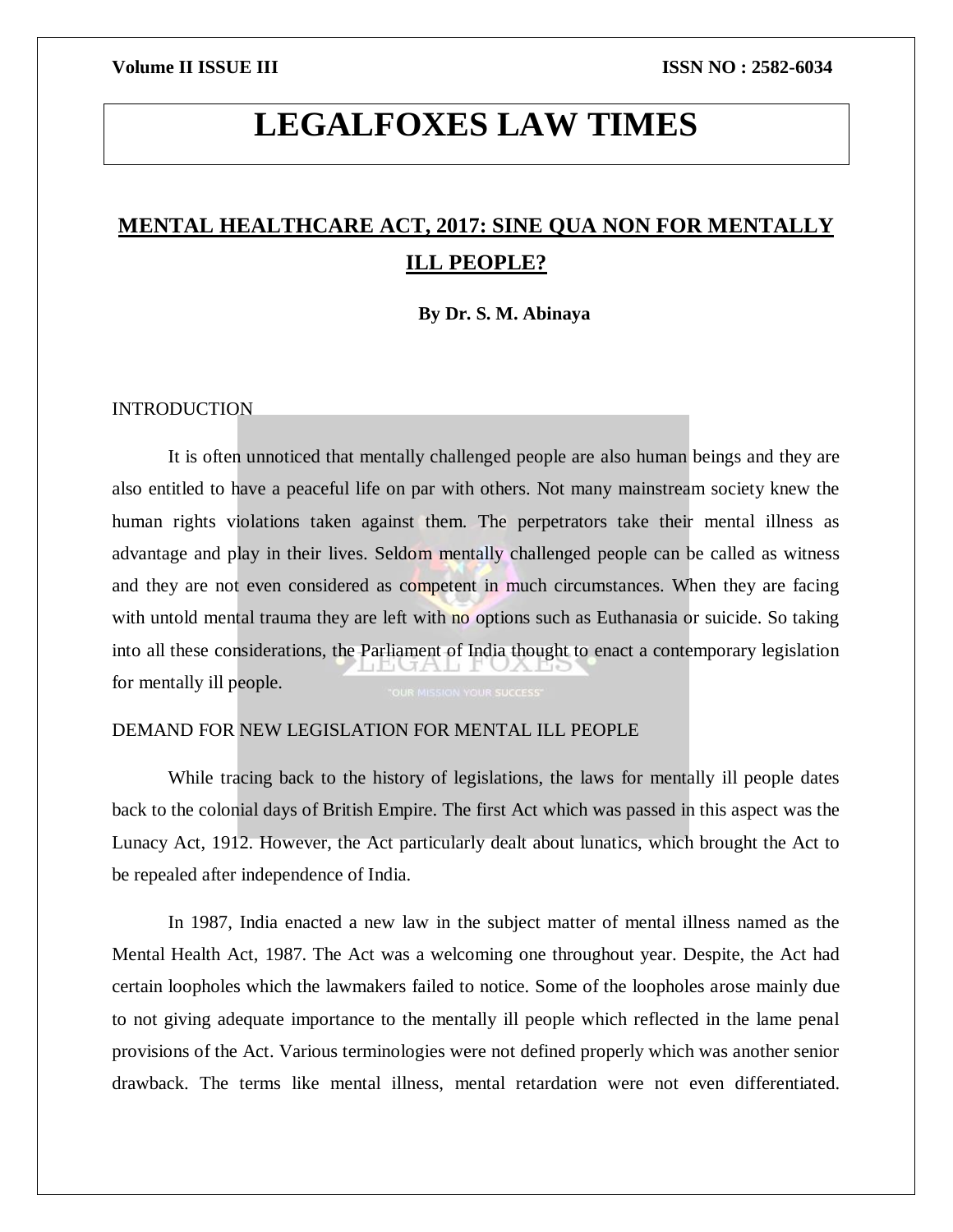# **LEGALFOXES LAW TIMES**

## **MENTAL HEALTHCARE ACT, 2017: SINE QUA NON FOR MENTALLY ILL PEOPLE?**

**By Dr. S. M. Abinaya**

### INTRODUCTION

It is often unnoticed that mentally challenged people are also human beings and they are also entitled to have a peaceful life on par with others. Not many mainstream society knew the human rights violations taken against them. The perpetrators take their mental illness as advantage and play in their lives. Seldom mentally challenged people can be called as witness and they are not even considered as competent in much circumstances. When they are facing with untold mental trauma they are left with no options such as Euthanasia or suicide. So taking into all these considerations, the Parliament of India thought to enact a contemporary legislation THUAN T for mentally ill people.

## DEMAND FOR NEW LEGISLATION FOR MENTAL ILL PEOPLE

While tracing back to the history of legislations, the laws for mentally ill people dates back to the colonial days of British Empire. The first Act which was passed in this aspect was the Lunacy Act, 1912. However, the Act particularly dealt about lunatics, which brought the Act to be repealed after independence of India.

In 1987, India enacted a new law in the subject matter of mental illness named as the Mental Health Act, 1987. The Act was a welcoming one throughout year. Despite, the Act had certain loopholes which the lawmakers failed to notice. Some of the loopholes arose mainly due to not giving adequate importance to the mentally ill people which reflected in the lame penal provisions of the Act. Various terminologies were not defined properly which was another senior drawback. The terms like mental illness, mental retardation were not even differentiated.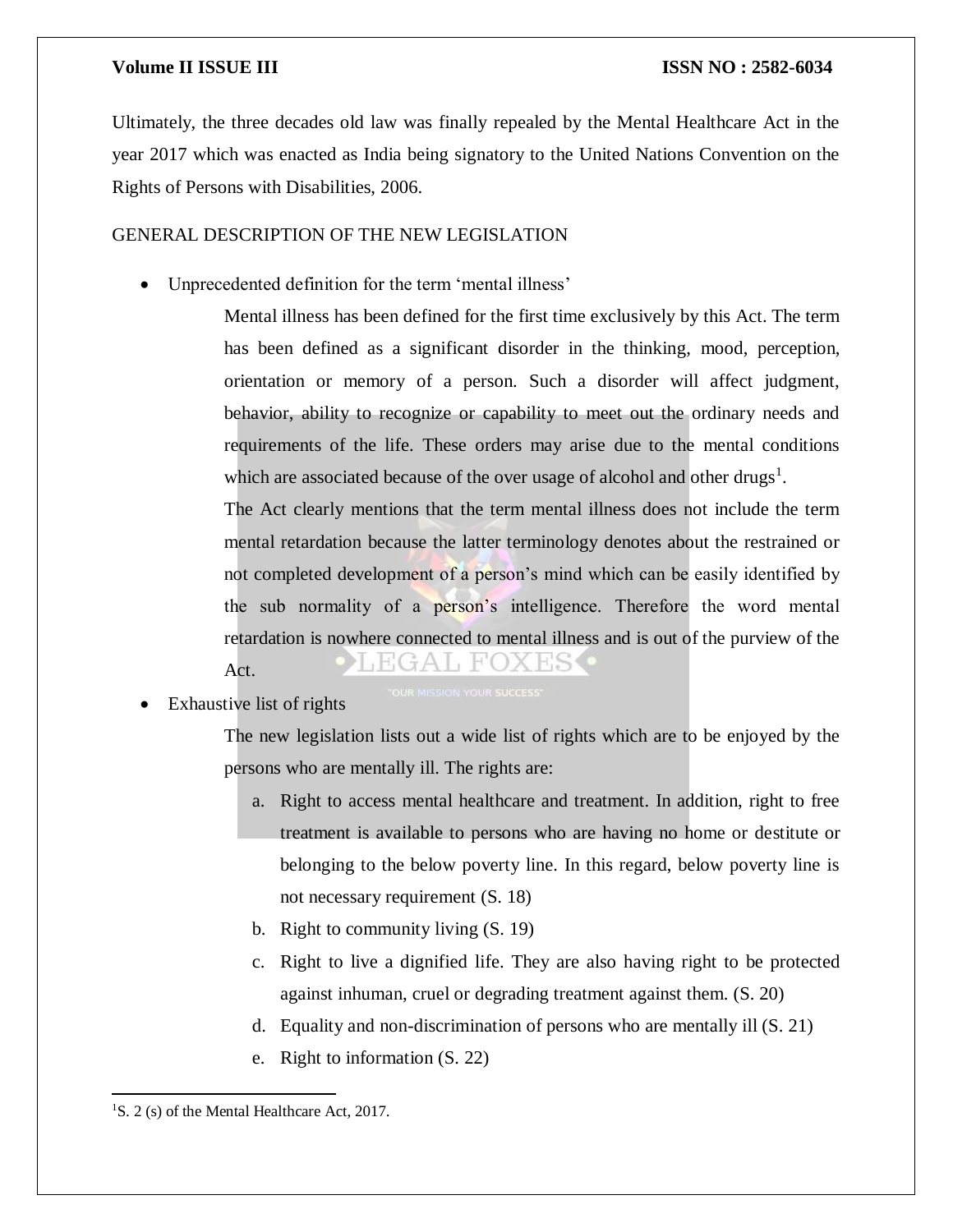### **Volume II ISSUE III III ISSUE III ISSN NO** : 2582-6034

Ultimately, the three decades old law was finally repealed by the Mental Healthcare Act in the year 2017 which was enacted as India being signatory to the United Nations Convention on the Rights of Persons with Disabilities, 2006.

### GENERAL DESCRIPTION OF THE NEW LEGISLATION

Unprecedented definition for the term 'mental illness'

Mental illness has been defined for the first time exclusively by this Act. The term has been defined as a significant disorder in the thinking, mood, perception, orientation or memory of a person. Such a disorder will affect judgment, behavior, ability to recognize or capability to meet out the ordinary needs and requirements of the life. These orders may arise due to the mental conditions which are associated because of the over usage of alcohol and other drugs<sup>1</sup>.

The Act clearly mentions that the term mental illness does not include the term mental retardation because the latter terminology denotes about the restrained or not completed development of a person's mind which can be easily identified by the sub normality of a person's intelligence. Therefore the word mental retardation is nowhere connected to mental illness and is out of the purview of the Act.

Exhaustive list of rights

The new legislation lists out a wide list of rights which are to be enjoyed by the persons who are mentally ill. The rights are:

- a. Right to access mental healthcare and treatment. In addition, right to free treatment is available to persons who are having no home or destitute or belonging to the below poverty line. In this regard, below poverty line is not necessary requirement (S. 18)
- b. Right to community living (S. 19)
- c. Right to live a dignified life. They are also having right to be protected against inhuman, cruel or degrading treatment against them. (S. 20)
- d. Equality and non-discrimination of persons who are mentally ill (S. 21)
- e. Right to information (S. 22)

 $\overline{a}$ 

<sup>&</sup>lt;sup>1</sup>S. 2 (s) of the Mental Healthcare Act, 2017.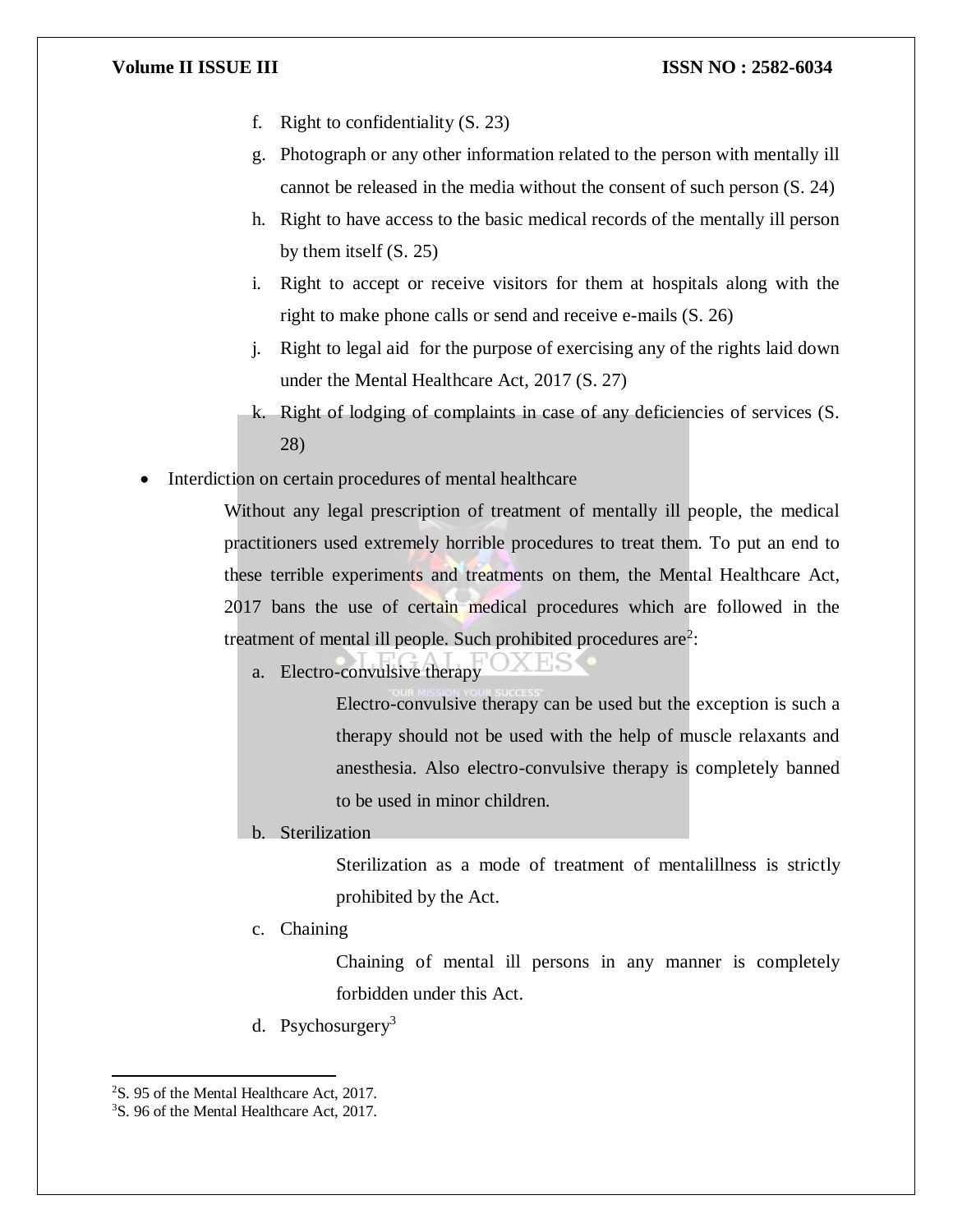### **Volume II ISSUE III ISSUE III ISSN NO : 2582-6034**

- f. Right to confidentiality (S. 23)
- g. Photograph or any other information related to the person with mentally ill cannot be released in the media without the consent of such person (S. 24)
- h. Right to have access to the basic medical records of the mentally ill person by them itself (S. 25)
- i. Right to accept or receive visitors for them at hospitals along with the right to make phone calls or send and receive e-mails (S. 26)
- j. Right to legal aid for the purpose of exercising any of the rights laid down under the Mental Healthcare Act, 2017 (S. 27)
- k. Right of lodging of complaints in case of any deficiencies of services (S. 28)
- Interdiction on certain procedures of mental healthcare

Without any legal prescription of treatment of mentally ill people, the medical practitioners used extremely horrible procedures to treat them. To put an end to these terrible experiments and treatments on them, the Mental Healthcare Act, 2017 bans the use of certain medical procedures which are followed in the treatment of mental ill people. Such prohibited procedures are<sup>2</sup>:

a. Electro-convulsive therapy

Electro-convulsive therapy can be used but the exception is such a therapy should not be used with the help of muscle relaxants and anesthesia. Also electro-convulsive therapy is completely banned to be used in minor children.

b. Sterilization

Sterilization as a mode of treatment of mentalillness is strictly prohibited by the Act.

c. Chaining

Chaining of mental ill persons in any manner is completely forbidden under this Act.

d. Psychosurgery<sup>3</sup>

 $\overline{\phantom{a}}$ 

<sup>2</sup>S. 95 of the Mental Healthcare Act, 2017.

<sup>3</sup>S. 96 of the Mental Healthcare Act, 2017.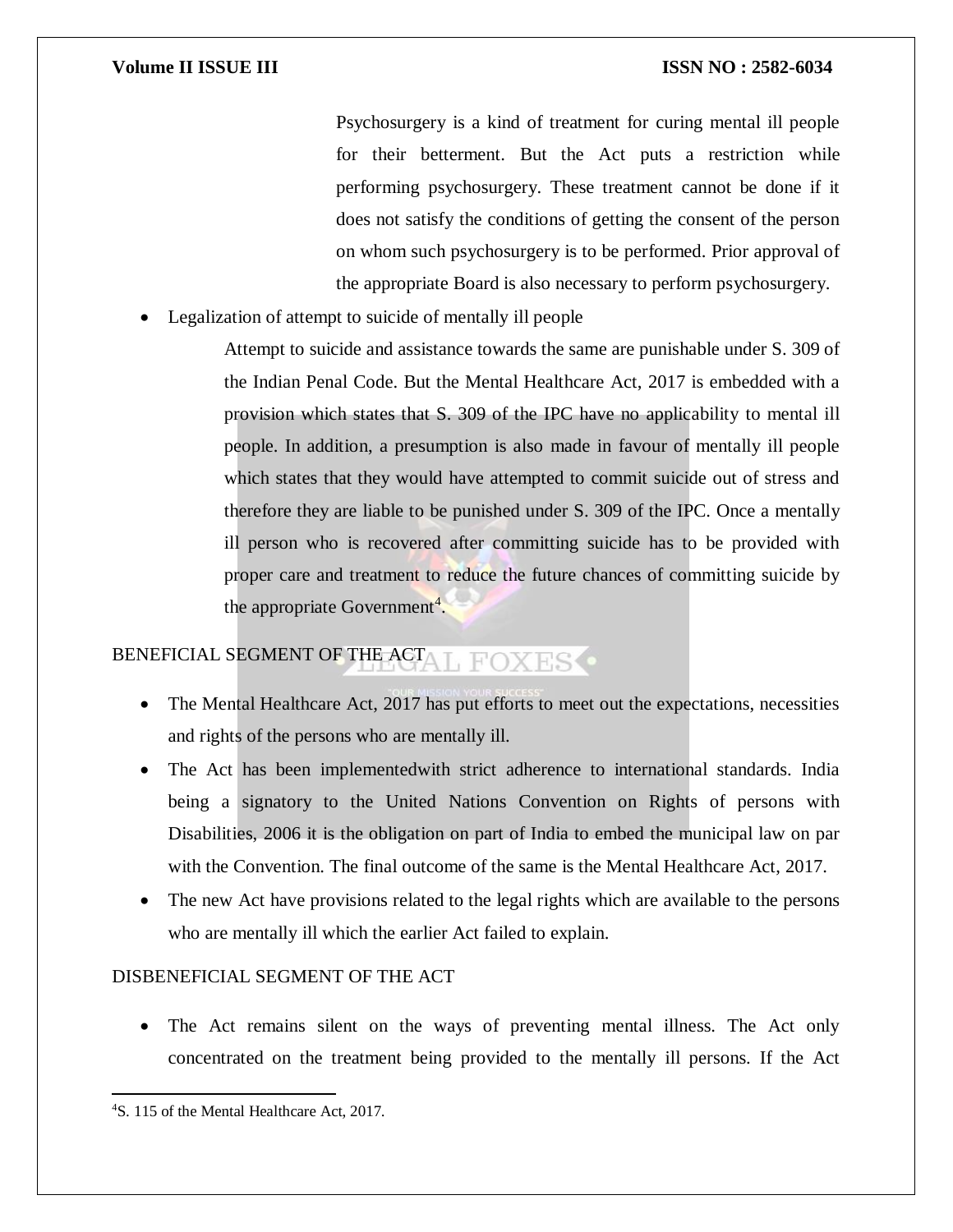### **Volume II ISSUE III III ISSUE III ISSN NO** : 2582-6034

Psychosurgery is a kind of treatment for curing mental ill people for their betterment. But the Act puts a restriction while performing psychosurgery. These treatment cannot be done if it does not satisfy the conditions of getting the consent of the person on whom such psychosurgery is to be performed. Prior approval of the appropriate Board is also necessary to perform psychosurgery.

Legalization of attempt to suicide of mentally ill people

Attempt to suicide and assistance towards the same are punishable under S. 309 of the Indian Penal Code. But the Mental Healthcare Act, 2017 is embedded with a provision which states that S. 309 of the IPC have no applicability to mental ill people. In addition, a presumption is also made in favour of mentally ill people which states that they would have attempted to commit suicide out of stress and therefore they are liable to be punished under S. 309 of the IPC. Once a mentally ill person who is recovered after committing suicide has to be provided with proper care and treatment to reduce the future chances of committing suicide by the appropriate Government<sup>4</sup>.

### BENEFICIAL SEGMENT OF THE ACT L FOXES<sup>O</sup>

- The Mental Healthcare Act, 2017 has put efforts to meet out the expectations, necessities and rights of the persons who are mentally ill.
- The Act has been implementedwith strict adherence to international standards. India being a signatory to the United Nations Convention on Rights of persons with Disabilities, 2006 it is the obligation on part of India to embed the municipal law on par with the Convention. The final outcome of the same is the Mental Healthcare Act, 2017.
- The new Act have provisions related to the legal rights which are available to the persons who are mentally ill which the earlier Act failed to explain.

## DISBENEFICIAL SEGMENT OF THE ACT

 The Act remains silent on the ways of preventing mental illness. The Act only concentrated on the treatment being provided to the mentally ill persons. If the Act

 $\overline{a}$ 

<sup>4</sup>S. 115 of the Mental Healthcare Act, 2017.